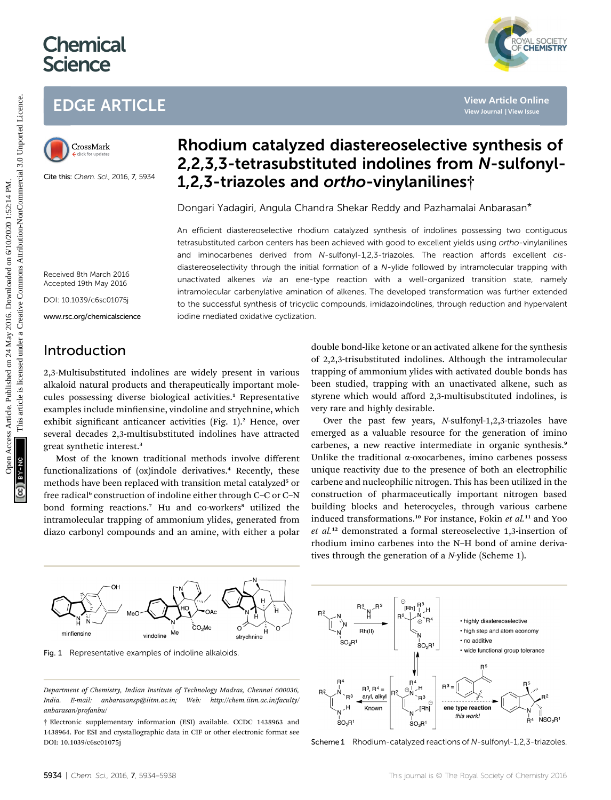# **Chemical Science**



## EDGE ARTICLE



Cite this: Chem. Sci., 2016, 7, 5934

## Rhodium catalyzed diastereoselective synthesis of 2,2,3,3-tetrasubstituted indolines from N-sulfonyl-1,2,3-triazoles and ortho-vinylanilines†

Dongari Yadagiri, Angula Chandra Shekar Reddy and Pazhamalai Anbarasan\*

An efficient diastereoselective rhodium catalyzed synthesis of indolines possessing two contiguous tetrasubstituted carbon centers has been achieved with good to excellent yields using ortho-vinylanilines and iminocarbenes derived from N-sulfonyl-1,2,3-triazoles. The reaction affords excellent cisdiastereoselectivity through the initial formation of a N-ylide followed by intramolecular trapping with unactivated alkenes via an ene-type reaction with a well-organized transition state, namely intramolecular carbenylative amination of alkenes. The developed transformation was further extended to the successful synthesis of tricyclic compounds, imidazoindolines, through reduction and hypervalent iodine mediated oxidative cyclization. EDGE ARTICLE<br>
Clear this come as a state 2.5 Max and 2.7 Max and 2.7 Max and 2.7 Max and 2.7 Max and 2.7 Max and 2.7 Max and 2.7 Max and 2.7 Max and 2.7 Max and 2.7 Max and 2.7 Max and 2.7 Max and 2.7 Max and 2.7 Max and

Received 8th March 2016 Accepted 19th May 2016

DOI: 10.1039/c6sc01075j

www.rsc.org/chemicalscience

## Introduction

2,3-Multisubstituted indolines are widely present in various alkaloid natural products and therapeutically important molecules possessing diverse biological activities.<sup>1</sup> Representative examples include minfiensine, vindoline and strychnine, which exhibit significant anticancer activities (Fig. 1).<sup>2</sup> Hence, over several decades 2,3-multisubstituted indolines have attracted great synthetic interest.<sup>3</sup>

Most of the known traditional methods involve different functionalizations of (ox)indole derivatives.<sup>4</sup> Recently, these methods have been replaced with transition metal catalyzed<sup>5</sup> or free radical<sup>6</sup> construction of indoline either through C–C or C–N bond forming reactions.<sup>7</sup> Hu and co-workers<sup>8</sup> utilized the intramolecular trapping of ammonium ylides, generated from diazo carbonyl compounds and an amine, with either a polar

double bond-like ketone or an activated alkene for the synthesis of 2,2,3-trisubstituted indolines. Although the intramolecular trapping of ammonium ylides with activated double bonds has been studied, trapping with an unactivated alkene, such as styrene which would afford 2,3-multisubstituted indolines, is very rare and highly desirable.

Over the past few years, N-sulfonyl-1,2,3-triazoles have emerged as a valuable resource for the generation of imino carbenes, a new reactive intermediate in organic synthesis.<sup>9</sup> Unlike the traditional  $\alpha$ -oxocarbenes, imino carbenes possess unique reactivity due to the presence of both an electrophilic carbene and nucleophilic nitrogen. This has been utilized in the construction of pharmaceutically important nitrogen based building blocks and heterocycles, through various carbene induced transformations.<sup>10</sup> For instance, Fokin et al.<sup>11</sup> and Yoo et al.<sup>12</sup> demonstrated a formal stereoselective 1,3-insertion of rhodium imino carbenes into the N–H bond of amine derivatives through the generation of a N-ylide (Scheme 1).



Fig. 1 Representative examples of indoline alkaloids.

Department of Chemistry, Indian Institute of Technology Madras, Chennai 600036, India. E-mail: anbarasansp@iitm.ac.in; Web: http://chem.iitm.ac.in/faculty/ anbarasan/profanbu/

<sup>†</sup> Electronic supplementary information (ESI) available. CCDC 1438963 and 1438964. For ESI and crystallographic data in CIF or other electronic format see DOI: 10.1039/c6sc01075j



Scheme 1 Rhodium-catalyzed reactions of N-sulfonyl-1,2,3-triazoles.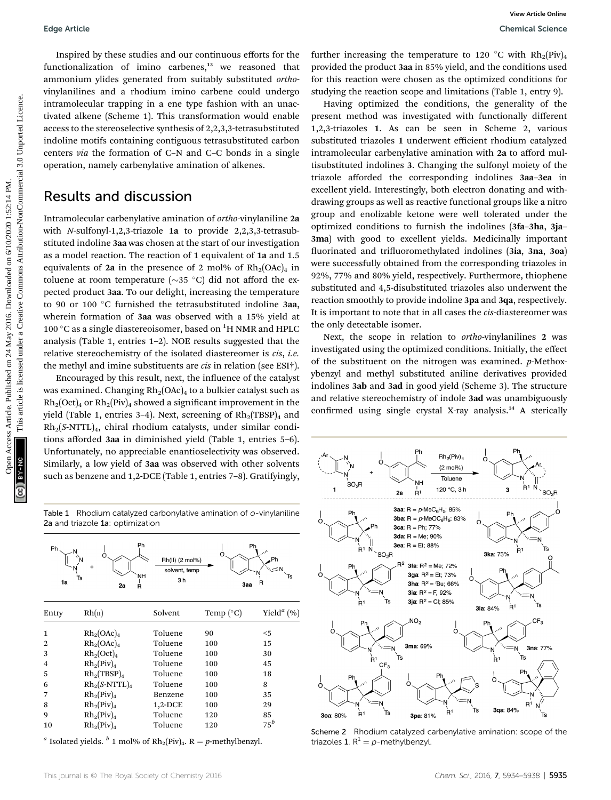Inspired by these studies and our continuous efforts for the functionalization of imino carbenes,<sup>13</sup> we reasoned that ammonium ylides generated from suitably substituted orthovinylanilines and a rhodium imino carbene could undergo intramolecular trapping in a ene type fashion with an unactivated alkene (Scheme 1). This transformation would enable access to the stereoselective synthesis of 2,2,3,3-tetrasubstituted indoline motifs containing contiguous tetrasubstituted carbon centers via the formation of C–N and C–C bonds in a single operation, namely carbenylative amination of alkenes.

### Results and discussion

Intramolecular carbenylative amination of ortho-vinylaniline 2a with N-sulfonyl-1,2,3-triazole 1a to provide 2,2,3,3-tetrasubstituted indoline 3aa was chosen at the start of our investigation as a model reaction. The reaction of 1 equivalent of 1a and 1.5 equivalents of 2a in the presence of 2 mol% of  $Rh_2(OAc)_4$  in toluene at room temperature ( $\sim$ 35 °C) did not afford the expected product 3aa. To our delight, increasing the temperature to 90 or 100 °C furnished the tetrasubstituted indoline 3aa, wherein formation of 3aa was observed with a 15% yield at 100  $^{\circ} \mathrm{C}$  as a single diastereoisomer, based on  $^{1} \mathrm{H}$  NMR and HPLC analysis (Table 1, entries 1–2). NOE results suggested that the relative stereochemistry of the isolated diastereomer is cis, i.e. the methyl and imine substituents are cis in relation (see ESI†).

Encouraged by this result, next, the influence of the catalyst was examined. Changing  $Rh_2(OAc)_4$  to a bulkier catalyst such as  $Rh_2(Oct)_4$  or  $Rh_2(Piv)_4$  showed a significant improvement in the yield (Table 1, entries 3-4). Next, screening of  $Rh_2(TBSP)_4$  and Rh2(S-NTTL)4, chiral rhodium catalysts, under similar conditions afforded 3aa in diminished yield (Table 1, entries 5–6). Unfortunately, no appreciable enantioselectivity was observed. Similarly, a low yield of 3aa was observed with other solvents such as benzene and 1,2-DCE (Table 1, entries 7–8). Gratifyingly,

Table 1 Rhodium catalyzed carbonylative amination of o-vinylaniline 2a and triazole 1a: optimization

| Ph<br>1a | Ph<br><b>NH</b><br>Ts<br>2a<br>Ŕ | Rh(II) (2 mol%)<br>solvent, temp<br>3h | C<br>Заа           | Ph<br>n,<br>Ph<br>R           |
|----------|----------------------------------|----------------------------------------|--------------------|-------------------------------|
| Entry    | Rh( <sub>II</sub> )              | Solvent                                | Temp $(^{\circ}C)$ | Yield <sup><i>a</i></sup> (%) |
| 1        | $Rh_2(OAc)_4$                    | Toluene                                | 90                 | $<$ 5                         |
| 2        | $Rh_2(OAc)_4$                    | Toluene                                | 100                | 15                            |
| 3        | $Rh_2(Oct)_4$                    | Toluene                                | 100                | 30                            |
| 4        | $Rh_2(Piv)_4$                    | Toluene                                | 100                | 45                            |
| 5        | $Rh_2(TBSP)_4$                   | Toluene                                | 100                | 18                            |
| 6        | $Rh_2(S-NTTL)_4$                 | Toluene                                | 100                | 8                             |
| 7        | $Rh_2(Piv)_4$                    | Benzene                                | 100                | 35                            |
| 8        | $Rh_2(Piv)_4$                    | $1,2$ -DCE                             | 100                | 29                            |
| 9        | $Rh_2(Piv)_4$                    | Toluene                                | 120                | 85                            |
| 10       | $Rh_2(Piv)_4$                    | Toluene                                | 120                | $75^b$                        |
|          |                                  |                                        |                    |                               |

<sup>a</sup> Isolated yields. <sup>b</sup> 1 mol% of Rh<sub>2</sub>(Piv)<sub>4</sub>. R = p-methylbenzyl.

further increasing the temperature to 120 °C with  $Rh_2(Piv)_4$ provided the product 3aa in 85% yield, and the conditions used for this reaction were chosen as the optimized conditions for studying the reaction scope and limitations (Table 1, entry 9).

Having optimized the conditions, the generality of the present method was investigated with functionally different 1,2,3-triazoles 1. As can be seen in Scheme 2, various substituted triazoles 1 underwent efficient rhodium catalyzed intramolecular carbenylative amination with 2a to afford multisubstituted indolines 3. Changing the sulfonyl moiety of the triazole afforded the corresponding indolines 3aa–3ea in excellent yield. Interestingly, both electron donating and withdrawing groups as well as reactive functional groups like a nitro group and enolizable ketone were well tolerated under the optimized conditions to furnish the indolines (3fa–3ha, 3ja– 3ma) with good to excellent yields. Medicinally important fluorinated and trifluoromethylated indolines (3ia, 3na, 3oa) were successfully obtained from the corresponding triazoles in 92%, 77% and 80% yield, respectively. Furthermore, thiophene substituted and 4,5-disubstituted triazoles also underwent the reaction smoothly to provide indoline 3pa and 3qa, respectively. It is important to note that in all cases the cis-diastereomer was the only detectable isomer. Edge Article<br>
Inspired by these studies and on continuous efforts for the further increasing the temperature of the published article is provided under published and the continuous of the studies of the studies of the stu

Next, the scope in relation to ortho-vinylanilines 2 was investigated using the optimized conditions. Initially, the effect of the substituent on the nitrogen was examined. p-Methoxybenzyl and methyl substituted aniline derivatives provided indolines 3ab and 3ad in good yield (Scheme 3). The structure and relative stereochemistry of indole 3ad was unambiguously confirmed using single crystal X-ray analysis.<sup>14</sup> A sterically



Scheme 2 Rhodium catalyzed carbenylative amination: scope of the triazoles 1.  $R^1 = p$ -methylbenzyl.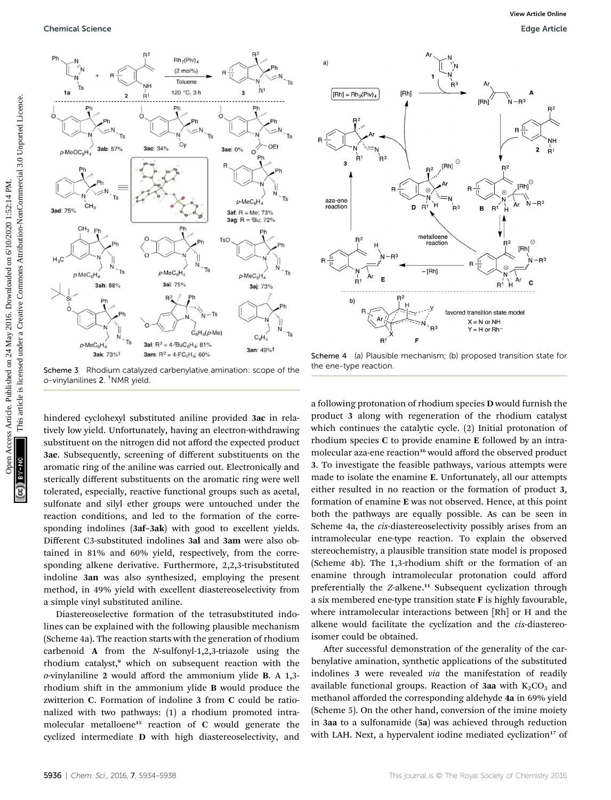

Scheme 3 Rhodium catalyzed carbenylative amination: scope of the o-vinylanilines 2. † NMR yield.

hindered cyclohexyl substituted aniline provided 3ac in relatively low yield. Unfortunately, having an electron-withdrawing substituent on the nitrogen did not afford the expected product 3ae. Subsequently, screening of different substituents on the aromatic ring of the aniline was carried out. Electronically and sterically different substituents on the aromatic ring were well tolerated, especially, reactive functional groups such as acetal, sulfonate and silyl ether groups were untouched under the reaction conditions, and led to the formation of the corresponding indolines (3af–3ak) with good to excellent yields. Different C3-substituted indolines 3al and 3am were also obtained in 81% and 60% yield, respectively, from the corresponding alkene derivative. Furthermore, 2,2,3-trisubstituted indoline 3an was also synthesized, employing the present method, in 49% yield with excellent diastereoselectivity from a simple vinyl substituted aniline.

Diastereoselective formation of the tetrasubstituted indolines can be explained with the following plausible mechanism (Scheme 4a). The reaction starts with the generation of rhodium carbenoid A from the N-sulfonyl-1,2,3-triazole using the rhodium catalyst,<sup>9</sup> which on subsequent reaction with the o-vinylaniline 2 would afford the ammonium ylide B. A 1,3 rhodium shift in the ammonium ylide **B** would produce the zwitterion C. Formation of indoline 3 from C could be rationalized with two pathways: (1) a rhodium promoted intramolecular metalloene<sup>15</sup> reaction of C would generate the cyclized intermediate D with high diastereoselectivity, and



Scheme 4 (a) Plausible mechanism; (b) proposed transition state for the ene-type reaction.

a following protonation of rhodium species D would furnish the product 3 along with regeneration of the rhodium catalyst which continues the catalytic cycle. (2) Initial protonation of rhodium species C to provide enamine E followed by an intramolecular aza-ene reaction<sup>16</sup> would afford the observed product 3. To investigate the feasible pathways, various attempts were made to isolate the enamine E. Unfortunately, all our attempts either resulted in no reaction or the formation of product 3, formation of enamine E was not observed. Hence, at this point both the pathways are equally possible. As can be seen in Scheme 4a, the *cis*-diastereoselectivity possibly arises from an intramolecular ene-type reaction. To explain the observed stereochemistry, a plausible transition state model is proposed (Scheme 4b). The  $1,3$ -rhodium shift or the formation of an enamine through intramolecular protonation could afford preferentially the Z-alkene.<sup>11</sup> Subsequent cyclization through a six membered ene-type transition state F is highly favourable, where intramolecular interactions between [Rh] or H and the alkene would facilitate the cyclization and the cis-diastereoisomer could be obtained.

After successful demonstration of the generality of the carbenylative amination, synthetic applications of the substituted indolines 3 were revealed via the manifestation of readily available functional groups. Reaction of 3aa with  $K_2CO_3$  and methanol afforded the corresponding aldehyde 4a in 69% yield (Scheme 5). On the other hand, conversion of the imine moiety in 3aa to a sulfonamide (5a) was achieved through reduction with LAH. Next, a hypervalent iodine mediated cyclization<sup>17</sup> of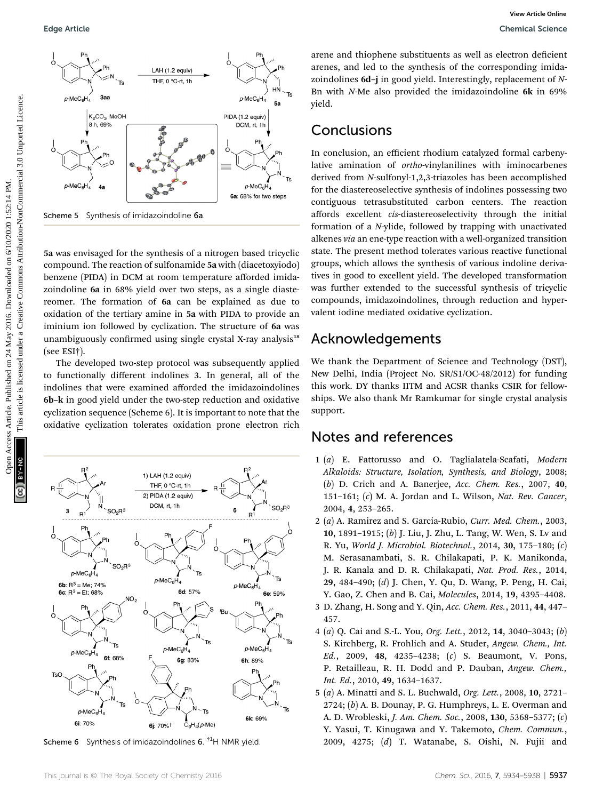

5a was envisaged for the synthesis of a nitrogen based tricyclic compound. The reaction of sulfonamide 5a with (diacetoxyiodo) benzene (PIDA) in DCM at room temperature afforded imidazoindoline 6a in 68% yield over two steps, as a single diastereomer. The formation of 6a can be explained as due to oxidation of the tertiary amine in 5a with PIDA to provide an iminium ion followed by cyclization. The structure of 6a was unambiguously confirmed using single crystal X-ray analysis<sup>18</sup> (see ESI†).

The developed two-step protocol was subsequently applied to functionally different indolines 3. In general, all of the indolines that were examined afforded the imidazoindolines 6b–k in good yield under the two-step reduction and oxidative cyclization sequence (Scheme 6). It is important to note that the oxidative cyclization tolerates oxidation prone electron rich



Scheme 6 Synthesis of imidazoindolines 6.  $^{\dagger1}$ H NMR yield.

This journal is © The Royal Society of Chemistry 2016 Chem. Sci., 2016, 7, 5934–5938 | 5937

arene and thiophene substituents as well as electron deficient arenes, and led to the synthesis of the corresponding imidazoindolines 6d–j in good yield. Interestingly, replacement of N-Bn with N-Me also provided the imidazoindoline 6k in 69% yield.

### **Conclusions**

In conclusion, an efficient rhodium catalyzed formal carbenylative amination of ortho-vinylanilines with iminocarbenes derived from N-sulfonyl-1,2,3-triazoles has been accomplished for the diastereoselective synthesis of indolines possessing two contiguous tetrasubstituted carbon centers. The reaction affords excellent cis-diastereoselectivity through the initial formation of a N-ylide, followed by trapping with unactivated alkenes via an ene-type reaction with a well-organized transition state. The present method tolerates various reactive functional groups, which allows the synthesis of various indoline derivatives in good to excellent yield. The developed transformation was further extended to the successful synthesis of tricyclic compounds, imidazoindolines, through reduction and hypervalent iodine mediated oxidative cyclization.

## Acknowledgements

We thank the Department of Science and Technology (DST), New Delhi, India (Project No. SR/S1/OC-48/2012) for funding this work. DY thanks IITM and ACSR thanks CSIR for fellowships. We also thank Mr Ramkumar for single crystal analysis support.

### Notes and references

- 1 (a) E. Fattorusso and O. Taglialatela-Scafati, Modern Alkaloids: Structure, Isolation, Synthesis, and Biology, 2008; (b) D. Crich and A. Banerjee, Acc. Chem. Res., 2007, 40, 151–161;  $(c)$  M. A. Jordan and L. Wilson, Nat. Rev. Cancer, 2004, 4, 253–265.
- 2 (a) A. Ramirez and S. Garcia-Rubio, Curr. Med. Chem., 2003, 10, 1891–1915; (b) J. Liu, J. Zhu, L. Tang, W. Wen, S. Lv and R. Yu, World J. Microbiol. Biotechnol., 2014, 30, 175–180; (c) M. Serasanambati, S. R. Chilakapati, P. K. Manikonda, J. R. Kanala and D. R. Chilakapati, Nat. Prod. Res., 2014, 29, 484–490; (d) J. Chen, Y. Qu, D. Wang, P. Peng, H. Cai, Y. Gao, Z. Chen and B. Cai, Molecules, 2014, 19, 4395–4408.
- 3 D. Zhang, H. Song and Y. Qin, Acc. Chem. Res., 2011, 44, 447– 457.
- 4 (a) Q. Cai and S.-L. You, Org. Lett., 2012, 14, 3040–3043; (b) S. Kirchberg, R. Frohlich and A. Studer, Angew. Chem., Int. Ed., 2009, 48, 4235–4238; (c) S. Beaumont, V. Pons, P. Retailleau, R. H. Dodd and P. Dauban, Angew. Chem., Int. Ed., 2010, 49, 1634–1637.
- 5 (a) A. Minatti and S. L. Buchwald, Org. Lett., 2008, 10, 2721– 2724; (b) A. B. Dounay, P. G. Humphreys, L. E. Overman and A. D. Wrobleski, J. Am. Chem. Soc., 2008, 130, 5368–5377; (c) Y. Yasui, T. Kinugawa and Y. Takemoto, Chem. Commun., 2009, 4275; (d) T. Watanabe, S. Oishi, N. Fujii and